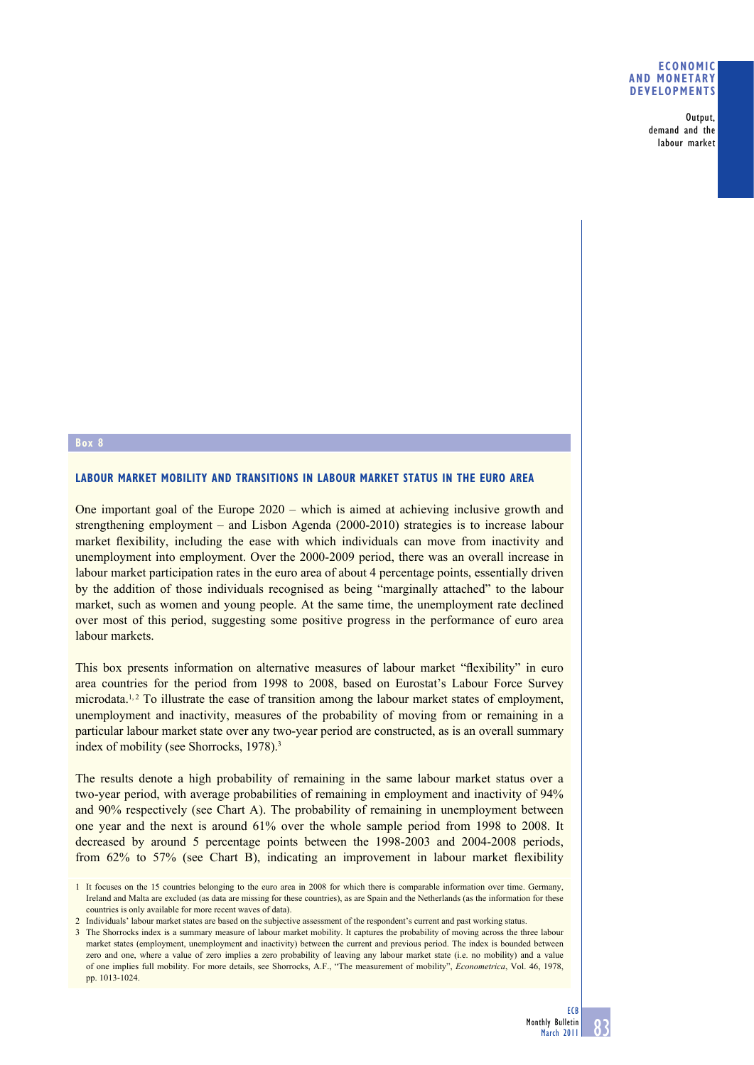### **ECONOMIC AND MONETARY DEVELOPMENTS**

Output, demand and the labour market

### **Box 8**

# **LABOUR MARKET MOBILITY AND TRANSITIONS IN LABOUR MARKET STATUS IN THE EURO AREA**

One important goal of the Europe 2020 – which is aimed at achieving inclusive growth and strengthening employment – and Lisbon Agenda (2000-2010) strategies is to increase labour market flexibility, including the ease with which individuals can move from inactivity and unemployment into employment. Over the 2000-2009 period, there was an overall increase in labour market participation rates in the euro area of about 4 percentage points, essentially driven by the addition of those individuals recognised as being "marginally attached" to the labour market, such as women and young people. At the same time, the unemployment rate declined over most of this period, suggesting some positive progress in the performance of euro area labour markets.

This box presents information on alternative measures of labour market "flexibility" in euro area countries for the period from 1998 to 2008, based on Eurostat's Labour Force Survey microdata.<sup>1,2</sup> To illustrate the ease of transition among the labour market states of employment, unemployment and inactivity, measures of the probability of moving from or remaining in a particular labour market state over any two-year period are constructed, as is an overall summary index of mobility (see Shorrocks, 1978).<sup>3</sup>

The results denote a high probability of remaining in the same labour market status over a two-year period, with average probabilities of remaining in employment and inactivity of 94% and 90% respectively (see Chart A). The probability of remaining in unemployment between one year and the next is around 61% over the whole sample period from 1998 to 2008. It decreased by around 5 percentage points between the 1998-2003 and 2004-2008 periods, from 62% to 57% (see Chart B), indicating an improvement in labour market flexibility

1 It focuses on the 15 countries belonging to the euro area in 2008 for which there is comparable information over time. Germany, Ireland and Malta are excluded (as data are missing for these countries), as are Spain and the Netherlands (as the information for these countries is only available for more recent waves of data).

<sup>2</sup> Individuals' labour market states are based on the subjective assessment of the respondent's current and past working status.

<sup>3</sup> The Shorrocks index is a summary measure of labour market mobility. It captures the probability of moving across the three labour market states (employment, unemployment and inactivity) between the current and previous period. The index is bounded between zero and one, where a value of zero implies a zero probability of leaving any labour market state (i.e. no mobility) and a value of one implies full mobility. For more details, see Shorrocks, A.F., "The measurement of mobility", *Econometrica*, Vol. 46, 1978, pp. 1013-1024.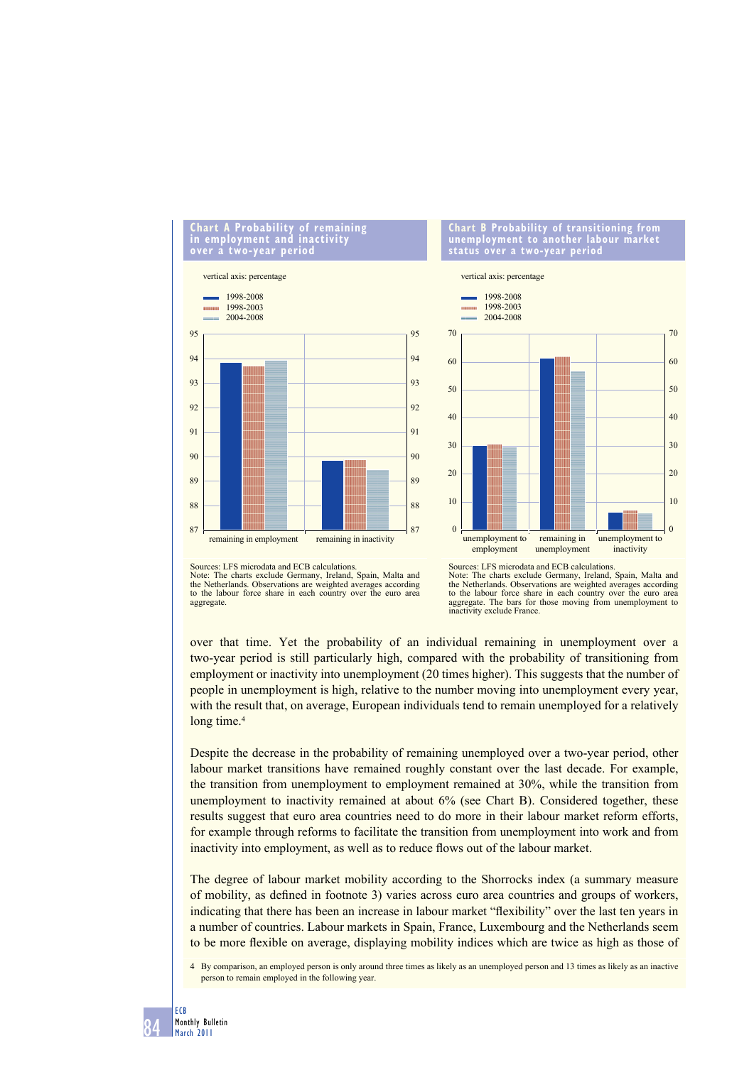# **Chart A Probability of remaining in employment and inactivity over a two-year period**



#### **Chart B Probability of transitioning from unemployment to another labour market status over a two-year period**



Sources: LFS microdata and ECB calculations.<br>Note: The charts exclude Germany, Ireland, The charts exclude Germany, Ireland, Spain, Malta and the Netherlands. Observations are weighted averages according to the labour force share in each country over the euro area aggregate.

Sources: LFS microdata and ECB calculations.<br>Note: The charts exclude Germany, Ireland, The charts exclude Germany, Ireland, Spain, Malta and the Netherlands. Observations are weighted averages according to the labour force share in each country over the euro area aggregate. The bars for those moving from unemployment to inactivity exclude France.

over that time. Yet the probability of an individual remaining in unemployment over a two-year period is still particularly high, compared with the probability of transitioning from employment or inactivity into unemployment (20 times higher). This suggests that the number of people in unemployment is high, relative to the number moving into unemployment every year, with the result that, on average, European individuals tend to remain unemployed for a relatively long time.<sup>4</sup>

Despite the decrease in the probability of remaining unemployed over a two-year period, other labour market transitions have remained roughly constant over the last decade. For example, the transition from unemployment to employment remained at 30%, while the transition from unemployment to inactivity remained at about 6% (see Chart B). Considered together, these results suggest that euro area countries need to do more in their labour market reform efforts, for example through reforms to facilitate the transition from unemployment into work and from inactivity into employment, as well as to reduce flows out of the labour market.

The degree of labour market mobility according to the Shorrocks index (a summary measure of mobility, as defined in footnote 3) varies across euro area countries and groups of workers, indicating that there has been an increase in labour market "flexibility" over the last ten years in a number of countries. Labour markets in Spain, France, Luxembourg and the Netherlands seem to be more flexible on average, displaying mobility indices which are twice as high as those of

4 By comparison, an employed person is only around three times as likely as an unemployed person and 13 times as likely as an inactive person to remain employed in the following year.